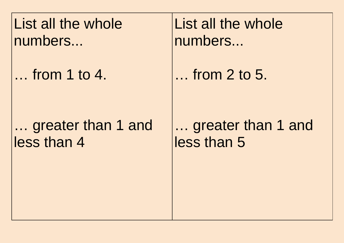List all the whole numbers...

… from 1 to 4.

## … greater than 1 and less than 4

List all the whole numbers...

… from 2 to 5.

… greater than 1 and less than 5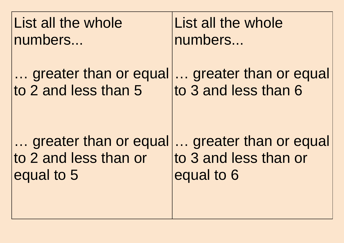| List all the whole    | List all the whole    |
|-----------------------|-----------------------|
| numbers               | numbers               |
| greater than or equal | greater than or equal |
| to 2 and less than 5  | to 3 and less than 6  |
| greater than or equal | greater than or equal |
| to 2 and less than or | to 3 and less than or |
| equal to 5            | equal to 6            |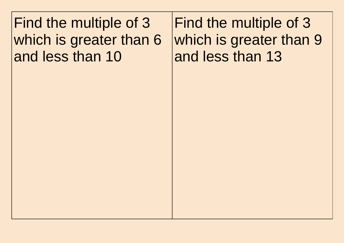Find the multiple of 3 which is greater than 6 and less than 10

Find the multiple of 3 which is greater than 9 and less than 13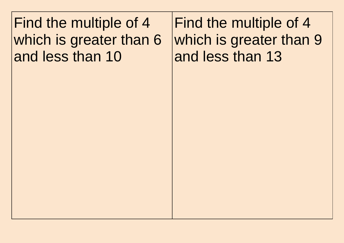Find the multiple of 4 which is greater than 6 and less than 10

Find the multiple of 4 which is greater than 9 and less than 13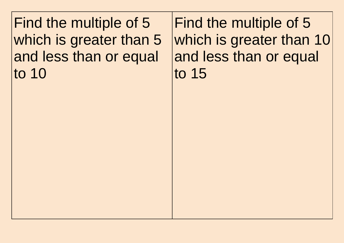Find the multiple of 5 which is greater than 5 and less than or equal to 10

Find the multiple of 5 which is greater than 10 and less than or equal to 15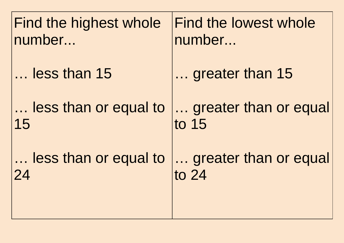| Find the highest whole | Find the lowest whole |
|------------------------|-----------------------|
| number                 | number                |
| less than 15           | greater than 15       |
| less than or equal to  | greater than or equal |
| 15                     | to 15                 |
| less than or equal to  | greater than or equal |
| 24                     | to 24                 |
|                        |                       |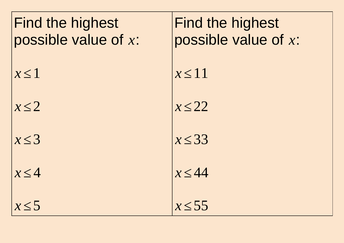| <b>Find the highest</b><br>possible value of x: | <b>Find the highest</b><br>possible value of x: |
|-------------------------------------------------|-------------------------------------------------|
| $x \leq 1$                                      | $x \leq 11$                                     |
| $x \leq 2$                                      | $x \leq 22$                                     |
| $x \leq 3$                                      | $x \leq 33$                                     |
| $x \leq 4$                                      | $x \leq 44$                                     |
| x<5                                             | $x \leq 55$                                     |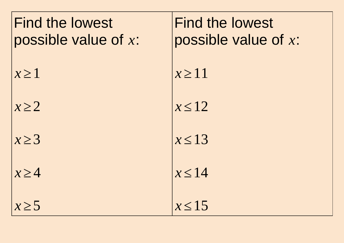| <b>Find the lowest</b><br>possible value of $x$ : |
|---------------------------------------------------|
| $x \geq 1$                                        |
| $x \geq 2$                                        |
| $x \geq 3$                                        |
| $x \geq 4$                                        |
| $x \geq 5$                                        |

Find the lowest possible value of *x*: *x ≥*11 *x ≤*12  $x \leq 13$  $x \leq 14$ *x ≤*15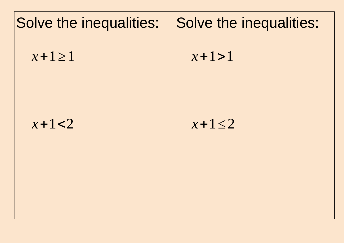## Solve the inequalities: *x*+1*≥*1  $x + 1 < 2$ Solve the inequalities: *x*+1>1 *x*+1*≤*2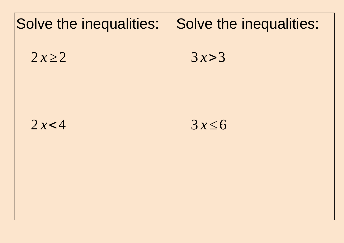## Solve the inequalities:  $2 x \ge 2$  $2x < 4$ Solve the inequalities:  $3x > 3$  $3x \leq 6$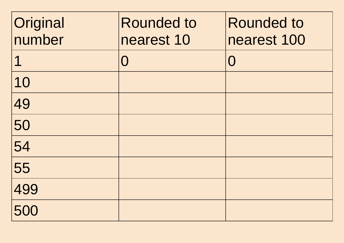| Original<br>number | <b>Rounded to</b><br>nearest 10 | <b>Rounded to</b><br>nearest 100 |
|--------------------|---------------------------------|----------------------------------|
| $\mathbf 1$        | $\bigcap$                       | $\overline{()}$                  |
| 10                 |                                 |                                  |
| 49                 |                                 |                                  |
| 50                 |                                 |                                  |
| 54                 |                                 |                                  |
| 55                 |                                 |                                  |
| 499                |                                 |                                  |
| 500                |                                 |                                  |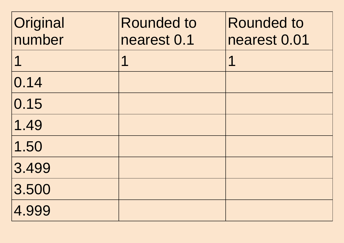| Original<br>number | <b>Rounded to</b><br>nearest 0.1 | <b>Rounded to</b><br>nearest 0.01 |
|--------------------|----------------------------------|-----------------------------------|
| $\mathbf 1$        | $\mathbf 1$                      | 1                                 |
| 0.14               |                                  |                                   |
| 0.15               |                                  |                                   |
| 1.49               |                                  |                                   |
| 1.50               |                                  |                                   |
| 3.499              |                                  |                                   |
| 3.500              |                                  |                                   |
| 4.999              |                                  |                                   |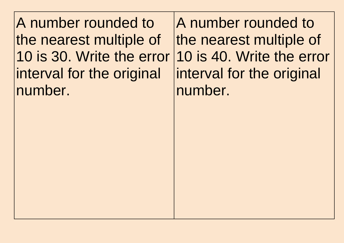A number rounded to the nearest multiple of 10 is 30. Write the error interval for the original number.

A number rounded to the nearest multiple of 10 is 40. Write the error interval for the original number.